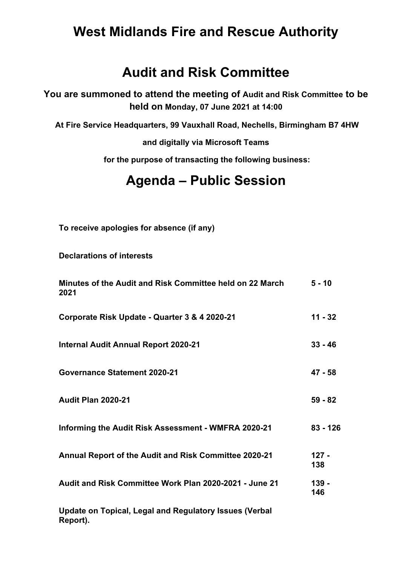## **West Midlands Fire and Rescue Authority**

## **Audit and Risk Committee**

**You are summoned to attend the meeting of Audit and Risk Committee to be held on Monday, 07 June 2021 at 14:00**

**At Fire Service Headquarters, 99 Vauxhall Road, Nechells, Birmingham B7 4HW**

**and digitally via Microsoft Teams**

**for the purpose of transacting the following business:**

## **Agenda – Public Session**

**To receive apologies for absence (if any)**

**Declarations of interests**

| Minutes of the Audit and Risk Committee held on 22 March<br>2021 | $5 - 10$       |
|------------------------------------------------------------------|----------------|
| Corporate Risk Update - Quarter 3 & 4 2020-21                    | $11 - 32$      |
| <b>Internal Audit Annual Report 2020-21</b>                      | $33 - 46$      |
| <b>Governance Statement 2020-21</b>                              | $47 - 58$      |
| <b>Audit Plan 2020-21</b>                                        | $59 - 82$      |
| Informing the Audit Risk Assessment - WMFRA 2020-21              | $83 - 126$     |
| <b>Annual Report of the Audit and Risk Committee 2020-21</b>     | $127 -$<br>138 |
| Audit and Risk Committee Work Plan 2020-2021 - June 21           | $139 -$<br>146 |
| libertal de 王coloci in and and Bandetone la cora Afadeal.        |                |

**Update on Topical, Legal and Regulatory Issues (Verbal Report).**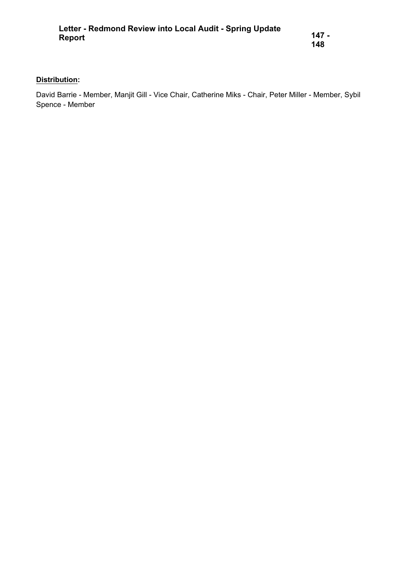## **Distribution:**

David Barrie - Member, Manjit Gill - Vice Chair, Catherine Miks - Chair, Peter Miller - Member, Sybil Spence - Member